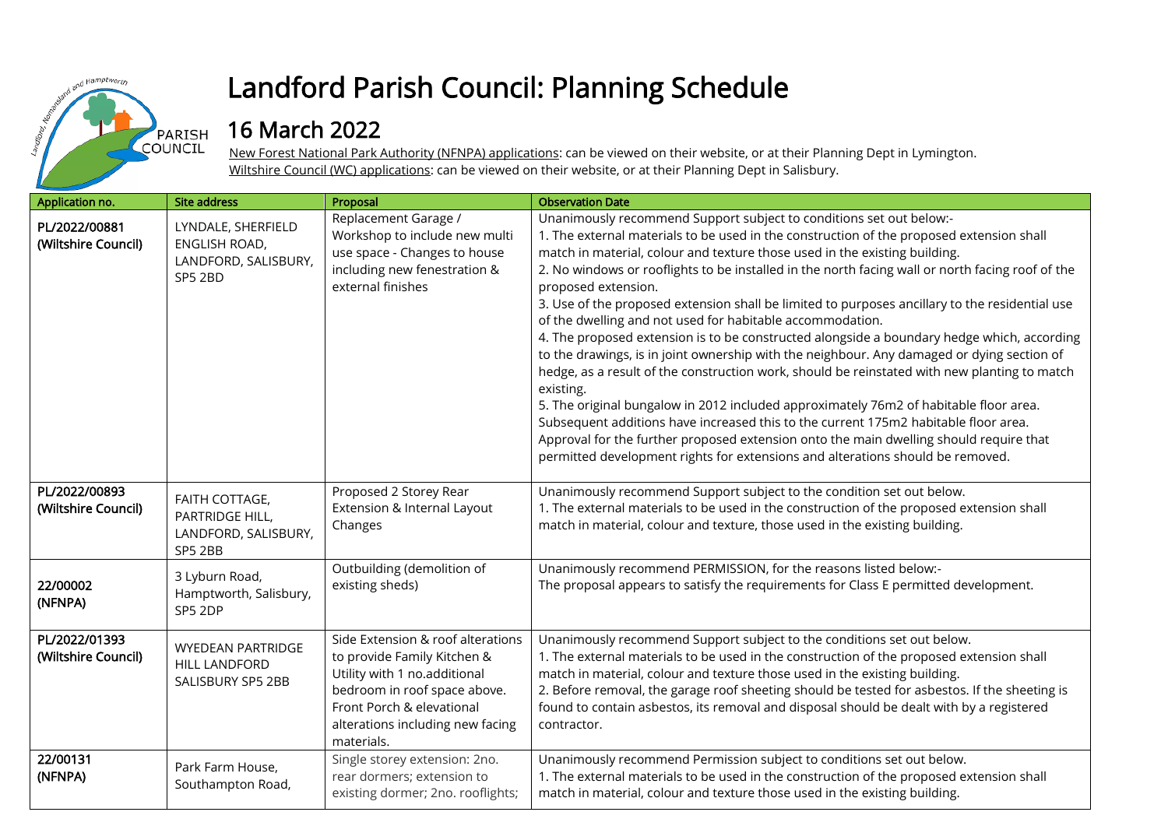

## Landford Parish Council: Planning Schedule

## 16 March 2022

New Forest National Park Authority (NFNPA) applications: can be viewed on their website, or at their Planning Dept in Lymington. Wiltshire Council (WC) applications: can be viewed on their website, or at their Planning Dept in Salisbury.

| Application no.                      | <b>Site address</b>                                                    | Proposal                                                                                                                                                                                                        | <b>Observation Date</b>                                                                                                                                                                                                                                                                                                                                                                                                                                                                                                                                                                                                                                                                                                                                                                                                                                                                                                                                                                                                                                                                                                                                                                                      |
|--------------------------------------|------------------------------------------------------------------------|-----------------------------------------------------------------------------------------------------------------------------------------------------------------------------------------------------------------|--------------------------------------------------------------------------------------------------------------------------------------------------------------------------------------------------------------------------------------------------------------------------------------------------------------------------------------------------------------------------------------------------------------------------------------------------------------------------------------------------------------------------------------------------------------------------------------------------------------------------------------------------------------------------------------------------------------------------------------------------------------------------------------------------------------------------------------------------------------------------------------------------------------------------------------------------------------------------------------------------------------------------------------------------------------------------------------------------------------------------------------------------------------------------------------------------------------|
| PL/2022/00881<br>(Wiltshire Council) | LYNDALE, SHERFIELD<br>ENGLISH ROAD,<br>LANDFORD, SALISBURY,<br>SP5 2BD | Replacement Garage /<br>Workshop to include new multi<br>use space - Changes to house<br>including new fenestration &<br>external finishes                                                                      | Unanimously recommend Support subject to conditions set out below:-<br>1. The external materials to be used in the construction of the proposed extension shall<br>match in material, colour and texture those used in the existing building.<br>2. No windows or rooflights to be installed in the north facing wall or north facing roof of the<br>proposed extension.<br>3. Use of the proposed extension shall be limited to purposes ancillary to the residential use<br>of the dwelling and not used for habitable accommodation.<br>4. The proposed extension is to be constructed alongside a boundary hedge which, according<br>to the drawings, is in joint ownership with the neighbour. Any damaged or dying section of<br>hedge, as a result of the construction work, should be reinstated with new planting to match<br>existing.<br>5. The original bungalow in 2012 included approximately 76m2 of habitable floor area.<br>Subsequent additions have increased this to the current 175m2 habitable floor area.<br>Approval for the further proposed extension onto the main dwelling should require that<br>permitted development rights for extensions and alterations should be removed. |
| PL/2022/00893<br>(Wiltshire Council) | FAITH COTTAGE,<br>PARTRIDGE HILL,<br>LANDFORD, SALISBURY,<br>SP5 2BB   | Proposed 2 Storey Rear<br>Extension & Internal Layout<br>Changes                                                                                                                                                | Unanimously recommend Support subject to the condition set out below.<br>1. The external materials to be used in the construction of the proposed extension shall<br>match in material, colour and texture, those used in the existing building.                                                                                                                                                                                                                                                                                                                                                                                                                                                                                                                                                                                                                                                                                                                                                                                                                                                                                                                                                             |
| 22/00002<br>(NFNPA)                  | 3 Lyburn Road,<br>Hamptworth, Salisbury,<br>SP5 2DP                    | Outbuilding (demolition of<br>existing sheds)                                                                                                                                                                   | Unanimously recommend PERMISSION, for the reasons listed below:-<br>The proposal appears to satisfy the requirements for Class E permitted development.                                                                                                                                                                                                                                                                                                                                                                                                                                                                                                                                                                                                                                                                                                                                                                                                                                                                                                                                                                                                                                                      |
| PL/2022/01393<br>(Wiltshire Council) | <b>WYEDEAN PARTRIDGE</b><br><b>HILL LANDFORD</b><br>SALISBURY SP5 2BB  | Side Extension & roof alterations<br>to provide Family Kitchen &<br>Utility with 1 no.additional<br>bedroom in roof space above.<br>Front Porch & elevational<br>alterations including new facing<br>materials. | Unanimously recommend Support subject to the conditions set out below.<br>1. The external materials to be used in the construction of the proposed extension shall<br>match in material, colour and texture those used in the existing building.<br>2. Before removal, the garage roof sheeting should be tested for asbestos. If the sheeting is<br>found to contain asbestos, its removal and disposal should be dealt with by a registered<br>contractor.                                                                                                                                                                                                                                                                                                                                                                                                                                                                                                                                                                                                                                                                                                                                                 |
| 22/00131<br>(NFNPA)                  | Park Farm House,<br>Southampton Road,                                  | Single storey extension: 2no.<br>rear dormers; extension to<br>existing dormer; 2no. rooflights;                                                                                                                | Unanimously recommend Permission subject to conditions set out below.<br>1. The external materials to be used in the construction of the proposed extension shall<br>match in material, colour and texture those used in the existing building.                                                                                                                                                                                                                                                                                                                                                                                                                                                                                                                                                                                                                                                                                                                                                                                                                                                                                                                                                              |